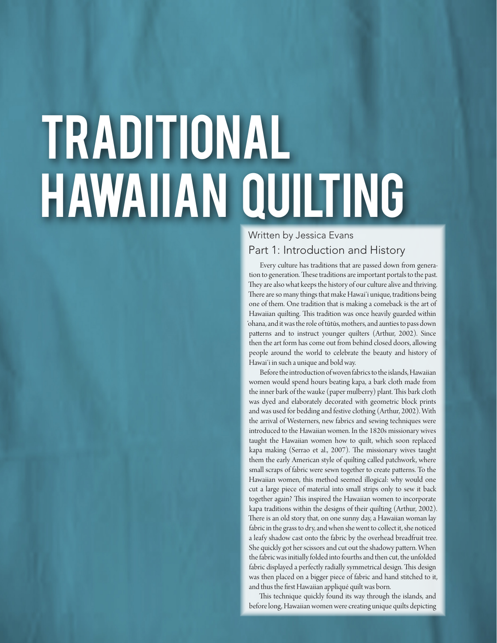# Traditional Hawaiian quilting

# Part 1: Introduction and History Written by Jessica Evans

Every culture has traditions that are passed down from generation to generation. These traditions are important portals to the past. They are also what keeps the history of our culture alive and thriving. There are so many things that make Hawaiʻi unique, traditions being one of them. One tradition that is making a comeback is the art of Hawaiian quilting. This tradition was once heavily guarded within 'ohana, and it was the role of tūtūs, mothers, and aunties to pass down patterns and to instruct younger quilters (Arthur, 2002). Since then the art form has come out from behind closed doors, allowing people around the world to celebrate the beauty and history of Hawaiʻi in such a unique and bold way.

Before the introduction of woven fabrics to the islands, Hawaiian women would spend hours beating kapa, a bark cloth made from the inner bark of the wauke (paper mulberry) plant. This bark cloth was dyed and elaborately decorated with geometric block prints and was used for bedding and festive clothing (Arthur, 2002). With the arrival of Westerners, new fabrics and sewing techniques were introduced to the Hawaiian women. In the 1820s missionary wives taught the Hawaiian women how to quilt, which soon replaced kapa making (Serrao et al., 2007). The missionary wives taught them the early American style of quilting called patchwork, where small scraps of fabric were sewn together to create patterns. To the Hawaiian women, this method seemed illogical: why would one cut a large piece of material into small strips only to sew it back together again? This inspired the Hawaiian women to incorporate kapa traditions within the designs of their quilting (Arthur, 2002). There is an old story that, on one sunny day, a Hawaiian woman lay fabric in the grass to dry, and when she went to collect it, she noticed a leafy shadow cast onto the fabric by the overhead breadfruit tree. She quickly got her scissors and cut out the shadowy pattern. When the fabric was initially folded into fourths and then cut, the unfolded fabric displayed a perfectly radially symmetrical design. This design was then placed on a bigger piece of fabric and hand stitched to it, and thus the first Hawaiian appliqué quilt was born.

This technique quickly found its way through the islands, and before long, Hawaiian women were creating unique quilts depicting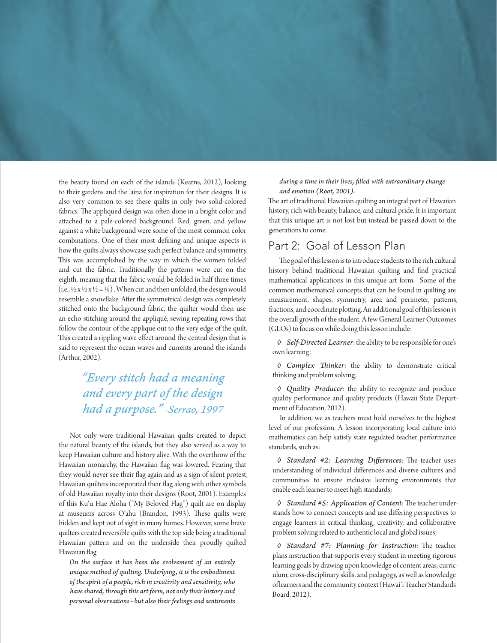the beauty found on each of the islands (Kearns, 2012), looking to their gardens and the ʻāina for inspiration for their designs. It is also very common to see these quilts in only two solid-colored fabrics. The appliqued design was often done in a bright color and attached to a pale-colored background. Red, green, and yellow against a white background were some of the most common color combinations. One of their most defining and unique aspects is how the quilts always showcase such perfect balance and symmetry. This was accomplished by the way in which the women folded and cut the fabric. Traditionally the patterns were cut on the eighth, meaning that the fabric would be folded in half three times (i.e.,  $\frac{1}{2}$  x  $\frac{1}{2}$  x  $\frac{1}{2}$  =  $\frac{1}{8}$ ). When cut and then unfolded, the design would resemble a snowflake. After the symmetrical design was completely stitched onto the background fabric, the quilter would then use an echo stitching around the appliqué, sewing repeating rows that follow the contour of the appliqué out to the very edge of the quilt. This created a rippling wave effect around the central design that is said to represent the ocean waves and currents around the islands (Arthur, 2002).

# *"Every stitch had a meaning and every part of the design had a purpose." -Serrao, 1997*

Not only were traditional Hawaiian quilts created to depict the natural beauty of the islands, but they also served as a way to keep Hawaiian culture and history alive. With the overthrow of the Hawaiian monarchy, the Hawaiian flag was lowered. Fearing that they would never see their flag again and as a sign of silent protest, Hawaiian quilters incorporated their flag along with other symbols of old Hawaiian royalty into their designs (Root, 2001). Examples of this Kuʻu Hae Aloha ("My Beloved Flag") quilt are on display at museums across Oʻahu (Brandon, 1993). These quilts were hidden and kept out of sight in many homes. However, some brave quilters created reversible quilts with the top side being a traditional Hawaiian pattern and on the underside their proudly quilted Hawaiian flag.

*On the surface it has been the evolvement of an entirely unique method of quilting. Underlying, it is the embodiment of the spirit of a people, rich in creativity and sensitivity, who have shared, through this art form, not only their history and personal observations - but also their feelings and sentiments* 

*during a time in their lives, filled with extraordinary change and emotion (Root, 2001).* 

The art of traditional Hawaiian quilting an integral part of Hawaiian history, rich with beauty, balance, and cultural pride. It is important that this unique art is not lost but instead be passed down to the generations to come.

### Part 2: Goal of Lesson Plan

The goal of this lesson is to introduce students to the rich cultural history behind traditional Hawaiian quilting and find practical mathematical applications in this unique art form. Some of the common mathematical concepts that can be found in quilting are measurement, shapes, symmetry, area and perimeter, patterns, fractions, and coordinate plotting. An additional goal of this lesson is the overall growth of the student. A few General Learner Outcomes (GLOs) to focus on while doing this lesson include:

*◊ Self-Directed Learner*: the ability to be responsible for one's own learning;

*◊ Complex Thinker*: the ability to demonstrate critical thinking and problem solving;

*◊ Quality Producer*: the ability to recognize and produce quality performance and quality products (Hawaii State Department of Education, 2012).

In addition, we as teachers must hold ourselves to the highest level of our profession. A lesson incorporating local culture into mathematics can help satisfy state regulated teacher performance standards, such as:

*◊ Standard #2: Learning Differences*: The teacher uses understanding of individual differences and diverse cultures and communities to ensure inclusive learning environments that enable each learner to meet high standards;

*◊ Standard #5: Application of Content*: The teacher understands how to connect concepts and use differing perspectives to engage learners in critical thinking, creativity, and collaborative problem solving related to authentic local and global issues;

*◊ Standard #7: Planning for Instruction*: The teacher plans instruction that supports every student in meeting rigorous learning goals by drawing upon knowledge of content areas, curriculum, cross-disciplinary skills, and pedagogy, as well as knowledge of learners and the community context (Hawaiʻi Teacher Standards Board, 2012).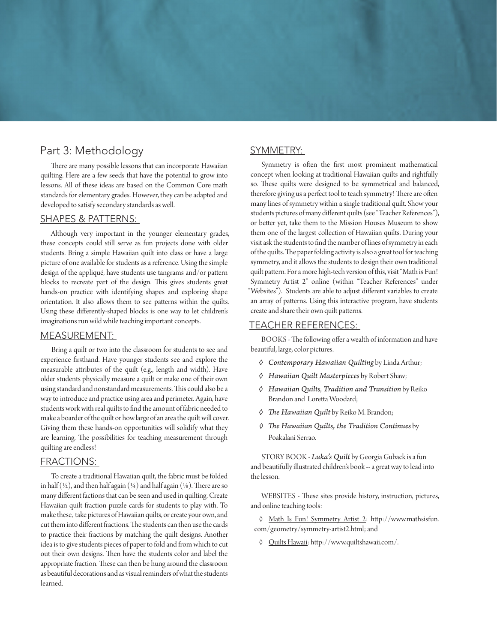# Part 3: Methodology

There are many possible lessons that can incorporate Hawaiian quilting. Here are a few seeds that have the potential to grow into lessons. All of these ideas are based on the Common Core math standards for elementary grades. However, they can be adapted and developed to satisfy secondary standards as well.

#### SHAPES & PATTERNS:

Although very important in the younger elementary grades, these concepts could still serve as fun projects done with older students. Bring a simple Hawaiian quilt into class or have a large picture of one available for students as a reference. Using the simple design of the appliqué, have students use tangrams and/or pattern blocks to recreate part of the design. This gives students great hands-on practice with identifying shapes and exploring shape orientation. It also allows them to see patterns within the quilts. Using these differently-shaped blocks is one way to let children's imaginations run wild while teaching important concepts.

#### MEASUREMENT:

Bring a quilt or two into the classroom for students to see and experience firsthand. Have younger students see and explore the measurable attributes of the quilt (e.g., length and width). Have older students physically measure a quilt or make one of their own using standard and nonstandard measurements. This could also be a way to introduce and practice using area and perimeter. Again, have students work with real quilts to find the amount of fabric needed to make a boarder of the quilt or how large of an area the quilt will cover. Giving them these hands-on opportunities will solidify what they are learning. The possibilities for teaching measurement through quilting are endless!

#### FRACTIONS:

To create a traditional Hawaiian quilt, the fabric must be folded in half (½), and then half again (¼) and half again (½). There are so many different factions that can be seen and used in quilting. Create Hawaiian quilt fraction puzzle cards for students to play with. To make these, take pictures of Hawaiian quilts, or create your own, and cut them into different fractions. The students can then use the cards to practice their fractions by matching the quilt designs. Another idea is to give students pieces of paper to fold and from which to cut out their own designs. Then have the students color and label the appropriate fraction. These can then be hung around the classroom as beautiful decorations and as visual reminders of what the students learned.

#### SYMMETRY:

Symmetry is often the first most prominent mathematical concept when looking at traditional Hawaiian quilts and rightfully so. These quilts were designed to be symmetrical and balanced, therefore giving us a perfect tool to teach symmetry! There are often many lines of symmetry within a single traditional quilt. Show your students pictures of many different quilts (see "Teacher References"), or better yet, take them to the Mission Houses Museum to show them one of the largest collection of Hawaiian quilts. During your visit ask the students to find the number of lines of symmetry in each of the quilts. The paper folding activity is also a great tool for teaching symmetry, and it allows the students to design their own traditional quilt pattern. For a more high-tech version of this, visit "Math is Fun! Symmetry Artist 2" online (within "Teacher References" under "Websites"). Students are able to adjust different variables to create an array of patterns. Using this interactive program, have students create and share their own quilt patterns.

#### TEACHER REFERENCES:

BOOKS - The following offer a wealth of information and have beautiful, large, color pictures.

- *◊ Contemporary Hawaiian Quilting* by Linda Arthur;
- *◊ Hawaiian Quilt Masterpieces* by Robert Shaw;
- *◊ Hawaiian Quilts*, *Tradition and Transition* by Reiko Brandon and Loretta Woodard;
- *◊ The Hawaiian Quilt* by Reiko M. Brandon;
- *◊ The Hawaiian Quilts, the Tradition Continues* by Poakalani Serrao.

STORY BOOK - *Luka's Quilt* by Georgia Guback is a fun and beautifully illustrated children's book -- a great way to lead into the lesson.

WEBSITES - These sites provide history, instruction, pictures, and online teaching tools:

◊ Math Is Fun! Symmetry Artist 2: http://www.mathsisfun. com/geometry/symmetry-artist2.html; and

◊ Quilts Hawaii: http://www.quiltshawaii.com/.